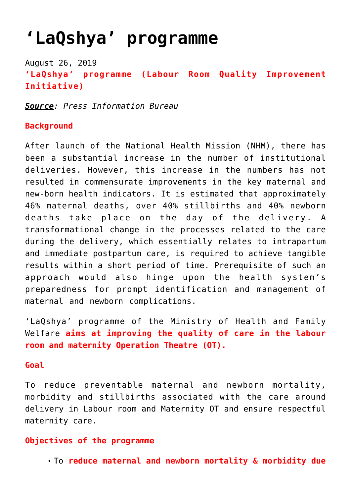# **['LaQshya' programme](https://journalsofindia.com/laqshya-programme/)**

August 26, 2019 **'LaQshya' programme (Labour Room Quality Improvement Initiative)**

*Source: Press Information Bureau*

### **Background**

After launch of the National Health Mission (NHM), there has been a substantial increase in the number of institutional deliveries. However, this increase in the numbers has not resulted in commensurate improvements in the key maternal and new-born health indicators. It is estimated that approximately 46% maternal deaths, over 40% stillbirths and 40% newborn deaths take place on the day of the delivery. A transformational change in the processes related to the care during the delivery, which essentially relates to intrapartum and immediate postpartum care, is required to achieve tangible results within a short period of time. Prerequisite of such an approach would also hinge upon the health system's preparedness for prompt identification and management of maternal and newborn complications.

'LaQshya' programme of the Ministry of Health and Family Welfare **aims at improving the quality of care in the labour room and maternity Operation Theatre (OT).**

#### **Goal**

To reduce preventable maternal and newborn mortality, morbidity and stillbirths associated with the care around delivery in Labour room and Maternity OT and ensure respectful maternity care.

### **Objectives of the programme**

To **reduce maternal and newborn mortality & morbidity due**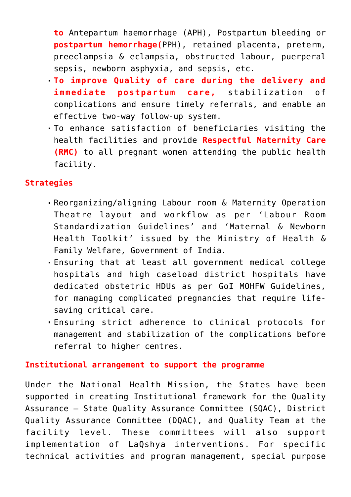**to** Antepartum haemorrhage (APH), Postpartum bleeding or **postpartum hemorrhage(**PPH), retained placenta, preterm, preeclampsia & eclampsia, obstructed labour, puerperal sepsis, newborn asphyxia, and sepsis, etc.

- **To improve Quality of care during the delivery and immediate postpartum care,** stabilization of complications and ensure timely referrals, and enable an effective two-way follow-up system.
- To enhance satisfaction of beneficiaries visiting the health facilities and provide **Respectful Maternity Care (RMC)** to all pregnant women attending the public health facility.

## **Strategies**

- Reorganizing/aligning Labour room & Maternity Operation Theatre layout and workflow as per 'Labour Room Standardization Guidelines' and 'Maternal & Newborn Health Toolkit' issued by the Ministry of Health & Family Welfare, Government of India.
- Ensuring that at least all government medical college hospitals and high caseload district hospitals have dedicated obstetric HDUs as per GoI MOHFW Guidelines, for managing complicated pregnancies that require lifesaving critical care.
- Ensuring strict adherence to clinical protocols for management and stabilization of the complications before referral to higher centres.

### **Institutional arrangement to support the programme**

Under the National Health Mission, the States have been supported in creating Institutional framework for the Quality Assurance – State Quality Assurance Committee (SQAC), District Quality Assurance Committee (DQAC), and Quality Team at the facility level. These committees will also support implementation of LaQshya interventions. For specific technical activities and program management, special purpose